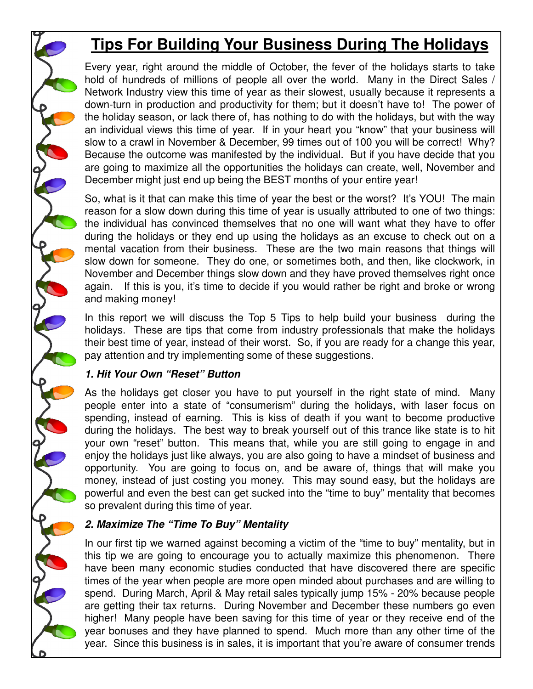# **Tips For Building Your Business During The Holidays**

Every year, right around the middle of October, the fever of the holidays starts to take hold of hundreds of millions of people all over the world. Many in the Direct Sales / Network Industry view this time of year as their slowest, usually because it represents a down-turn in production and productivity for them; but it doesn't have to! The power of the holiday season, or lack there of, has nothing to do with the holidays, but with the way an individual views this time of year. If in your heart you "know" that your business will slow to a crawl in November & December, 99 times out of 100 you will be correct! Why? Because the outcome was manifested by the individual. But if you have decide that you are going to maximize all the opportunities the holidays can create, well, November and December might just end up being the BEST months of your entire year!

So, what is it that can make this time of year the best or the worst? It's YOU! The main reason for a slow down during this time of year is usually attributed to one of two things: the individual has convinced themselves that no one will want what they have to offer during the holidays or they end up using the holidays as an excuse to check out on a mental vacation from their business. These are the two main reasons that things will slow down for someone. They do one, or sometimes both, and then, like clockwork, in November and December things slow down and they have proved themselves right once again. If this is you, it's time to decide if you would rather be right and broke or wrong and making money!

In this report we will discuss the Top 5 Tips to help build your business during the holidays. These are tips that come from industry professionals that make the holidays their best time of year, instead of their worst. So, if you are ready for a change this year, pay attention and try implementing some of these suggestions.

### **1. Hit Your Own "Reset" Button**

As the holidays get closer you have to put yourself in the right state of mind. Many people enter into a state of "consumerism" during the holidays, with laser focus on spending, instead of earning. This is kiss of death if you want to become productive during the holidays. The best way to break yourself out of this trance like state is to hit your own "reset" button. This means that, while you are still going to engage in and enjoy the holidays just like always, you are also going to have a mindset of business and opportunity. You are going to focus on, and be aware of, things that will make you money, instead of just costing you money. This may sound easy, but the holidays are powerful and even the best can get sucked into the "time to buy" mentality that becomes so prevalent during this time of year.

# **2. Maximize The "Time To Buy" Mentality**

In our first tip we warned against becoming a victim of the "time to buy" mentality, but in this tip we are going to encourage you to actually maximize this phenomenon. There have been many economic studies conducted that have discovered there are specific times of the year when people are more open minded about purchases and are willing to spend. During March, April & May retail sales typically jump 15% - 20% because people are getting their tax returns. During November and December these numbers go even higher! Many people have been saving for this time of year or they receive end of the year bonuses and they have planned to spend. Much more than any other time of the year. Since this business is in sales, it is important that you're aware of consumer trends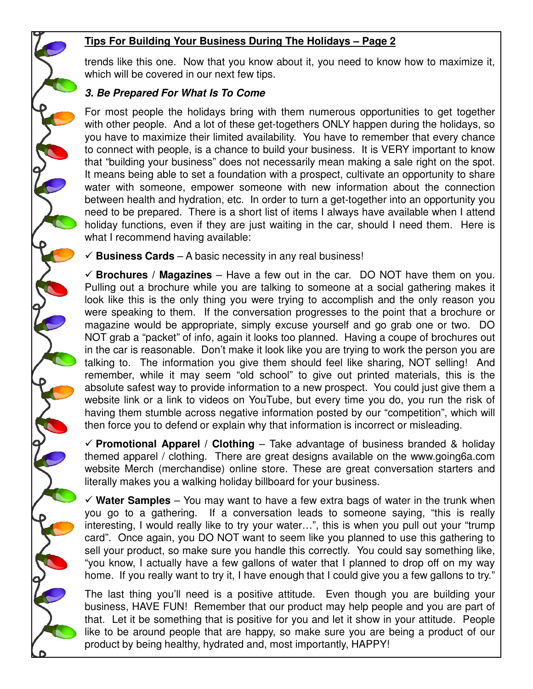# **Tips For Building Your Business During The Holidays – Page 2**

trends like this one. Now that you know about it, you need to know how to maximize it, which will be covered in our next few tips.

# **3. Be Prepared For What Is To Come**

For most people the holidays bring with them numerous opportunities to get together with other people. And a lot of these get-togethers ONLY happen during the holidays, so you have to maximize their limited availability. You have to remember that every chance to connect with people, is a chance to build your business. It is VERY important to know that "building your business" does not necessarily mean making a sale right on the spot. It means being able to set a foundation with a prospect, cultivate an opportunity to share water with someone, empower someone with new information about the connection between health and hydration, etc. In order to turn a get-together into an opportunity you need to be prepared. There is a short list of items I always have available when I attend holiday functions, even if they are just waiting in the car, should I need them. Here is what I recommend having available:

 $\checkmark$  **Business Cards** – A basic necessity in any real business!

 $\checkmark$  **Brochures** / **Magazines** – Have a few out in the car. DO NOT have them on you. Pulling out a brochure while you are talking to someone at a social gathering makes it look like this is the only thing you were trying to accomplish and the only reason you were speaking to them. If the conversation progresses to the point that a brochure or magazine would be appropriate, simply excuse yourself and go grab one or two. DO NOT grab a "packet" of info, again it looks too planned. Having a coupe of brochures out in the car is reasonable. Don't make it look like you are trying to work the person you are talking to. The information you give them should feel like sharing, NOT selling! And remember, while it may seem "old school" to give out printed materials, this is the absolute safest way to provide information to a new prospect. You could just give them a website link or a link to videos on YouTube, but every time you do, you run the risk of having them stumble across negative information posted by our "competition", which will then force you to defend or explain why that information is incorrect or misleading.

 $\checkmark$  Promotional Apparel / Clothing – Take advantage of business branded & holiday themed apparel / clothing. There are great designs available on the www.going6a.com website Merch (merchandise) online store. These are great conversation starters and literally makes you a walking holiday billboard for your business.

 $\checkmark$  Water Samples – You may want to have a few extra bags of water in the trunk when you go to a gathering. If a conversation leads to someone saying, "this is really interesting, I would really like to try your water…", this is when you pull out your "trump card". Once again, you DO NOT want to seem like you planned to use this gathering to sell your product, so make sure you handle this correctly. You could say something like, "you know, I actually have a few gallons of water that I planned to drop off on my way home. If you really want to try it, I have enough that I could give you a few gallons to try."

The last thing you'll need is a positive attitude. Even though you are building your business, HAVE FUN! Remember that our product may help people and you are part of that. Let it be something that is positive for you and let it show in your attitude. People like to be around people that are happy, so make sure you are being a product of our product by being healthy, hydrated and, most importantly, HAPPY!